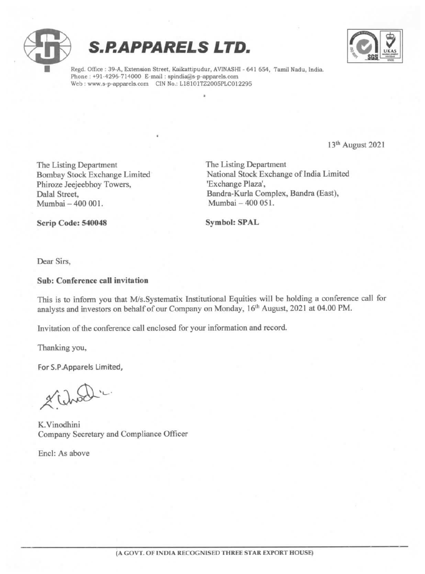





Regd. Office : 39-A, Extension Street, Kaikattipudur, AVINASHI - 641 654, Tamil Nadu, India. Phone : +91-4296-714000 E-mail : spindia@s-p-apparels.com Web: www.s-p-apparels.com CIN No.: L18101TZ2005PLC012295

13<sup>th</sup> August 2021

The Listing Department<br>
The Listing Department<br>
The Listing Department<br>
National Stock Exchange Phiroze Jeejeebhoy Towers,<br>Dalal Street, Mumbai - 400 001.

National Stock Exchange of India Limited<br>'Exchange Plaza', Bandra-Kurla Complex, Bandra (East),<br>Mumbai - 400 051.

Scrip Code: 540048 Symbol: SPAL

Dear Sirs,

#### Sub: Conference call invitation

This is to inform you that M/s.Systematix Institutional Equities will be holding a conference call for analysts and investors on behalf of our Company on Monday, 16<sup>th</sup> August, 2021 at 04.00 PM.

Invitation of the conference call enclosed for your information and record.

Thanking you,

For S.P.Apparels Limited,

noch 'c

K.Vinodhini Company Secretary and Compliance Officer

Encl: As above